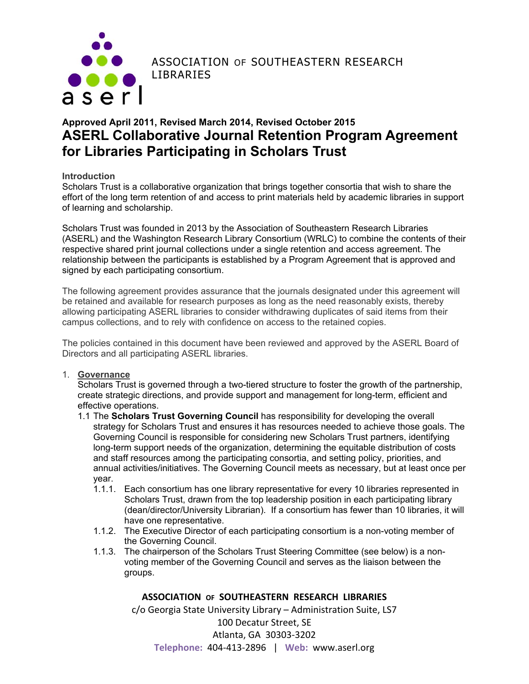

ASSOCIATION OF SOUTHEASTERN RESEARCH

# **Approved April 2011, Revised March 2014, Revised October 2015 ASERL Collaborative Journal Retention Program Agreement for Libraries Participating in Scholars Trust**

#### **Introduction**

Scholars Trust is a collaborative organization that brings together consortia that wish to share the effort of the long term retention of and access to print materials held by academic libraries in support of learning and scholarship.

Scholars Trust was founded in 2013 by the Association of Southeastern Research Libraries (ASERL) and the Washington Research Library Consortium (WRLC) to combine the contents of their respective shared print journal collections under a single retention and access agreement. The relationship between the participants is established by a Program Agreement that is approved and signed by each participating consortium.

The following agreement provides assurance that the journals designated under this agreement will be retained and available for research purposes as long as the need reasonably exists, thereby allowing participating ASERL libraries to consider withdrawing duplicates of said items from their campus collections, and to rely with confidence on access to the retained copies.

The policies contained in this document have been reviewed and approved by the ASERL Board of Directors and all participating ASERL libraries.

#### 1. **Governance**

Scholars Trust is governed through a two-tiered structure to foster the growth of the partnership, create strategic directions, and provide support and management for long-term, efficient and effective operations.

- 1.1 The **Scholars Trust Governing Council** has responsibility for developing the overall strategy for Scholars Trust and ensures it has resources needed to achieve those goals. The Governing Council is responsible for considering new Scholars Trust partners, identifying long-term support needs of the organization, determining the equitable distribution of costs and staff resources among the participating consortia, and setting policy, priorities, and annual activities/initiatives. The Governing Council meets as necessary, but at least once per year.
	- 1.1.1. Each consortium has one library representative for every 10 libraries represented in Scholars Trust, drawn from the top leadership position in each participating library (dean/director/University Librarian). If a consortium has fewer than 10 libraries, it will have one representative.
	- 1.1.2. The Executive Director of each participating consortium is a non-voting member of the Governing Council.
	- 1.1.3. The chairperson of the Scholars Trust Steering Committee (see below) is a nonvoting member of the Governing Council and serves as the liaison between the groups.

#### **ASSOCIATION OF SOUTHEASTERN RESEARCH LIBRARIES**

c/o Georgia State University Library – Administration Suite, LS7

100 Decatur Street, SE Atlanta, GA 30303‐3202 **Telephone:** 404‐413‐2896 | **Web:** www.aserl.org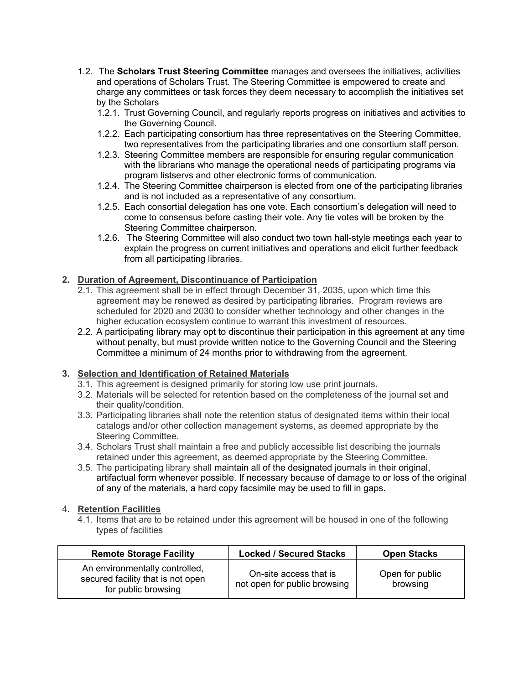- 1.2. The **Scholars Trust Steering Committee** manages and oversees the initiatives, activities and operations of Scholars Trust. The Steering Committee is empowered to create and charge any committees or task forces they deem necessary to accomplish the initiatives set by the Scholars
	- 1.2.1. Trust Governing Council, and regularly reports progress on initiatives and activities to the Governing Council.
	- 1.2.2. Each participating consortium has three representatives on the Steering Committee, two representatives from the participating libraries and one consortium staff person.
	- 1.2.3. Steering Committee members are responsible for ensuring regular communication with the librarians who manage the operational needs of participating programs via program listservs and other electronic forms of communication.
	- 1.2.4. The Steering Committee chairperson is elected from one of the participating libraries and is not included as a representative of any consortium.
	- 1.2.5. Each consortial delegation has one vote. Each consortium's delegation will need to come to consensus before casting their vote. Any tie votes will be broken by the Steering Committee chairperson.
	- 1.2.6. The Steering Committee will also conduct two town hall-style meetings each year to explain the progress on current initiatives and operations and elicit further feedback from all participating libraries.

# **2. Duration of Agreement, Discontinuance of Participation**

- 2.1. This agreement shall be in effect through December 31, 2035, upon which time this agreement may be renewed as desired by participating libraries. Program reviews are scheduled for 2020 and 2030 to consider whether technology and other changes in the higher education ecosystem continue to warrant this investment of resources.
- 2.2. A participating library may opt to discontinue their participation in this agreement at any time without penalty, but must provide written notice to the Governing Council and the Steering Committee a minimum of 24 months prior to withdrawing from the agreement.

#### **3. Selection and Identification of Retained Materials**

- 3.1. This agreement is designed primarily for storing low use print journals.
- 3.2. Materials will be selected for retention based on the completeness of the journal set and their quality/condition.
- 3.3. Participating libraries shall note the retention status of designated items within their local catalogs and/or other collection management systems, as deemed appropriate by the Steering Committee.
- 3.4. Scholars Trust shall maintain a free and publicly accessible list describing the journals retained under this agreement, as deemed appropriate by the Steering Committee.
- 3.5. The participating library shall maintain all of the designated journals in their original, artifactual form whenever possible. If necessary because of damage to or loss of the original of any of the materials, a hard copy facsimile may be used to fill in gaps.

#### 4. **Retention Facilities**

4.1. Items that are to be retained under this agreement will be housed in one of the following types of facilities

| <b>Remote Storage Facility</b>                                                             | <b>Locked / Secured Stacks</b>                         | <b>Open Stacks</b>          |
|--------------------------------------------------------------------------------------------|--------------------------------------------------------|-----------------------------|
| An environmentally controlled,<br>secured facility that is not open<br>for public browsing | On-site access that is<br>not open for public browsing | Open for public<br>browsing |